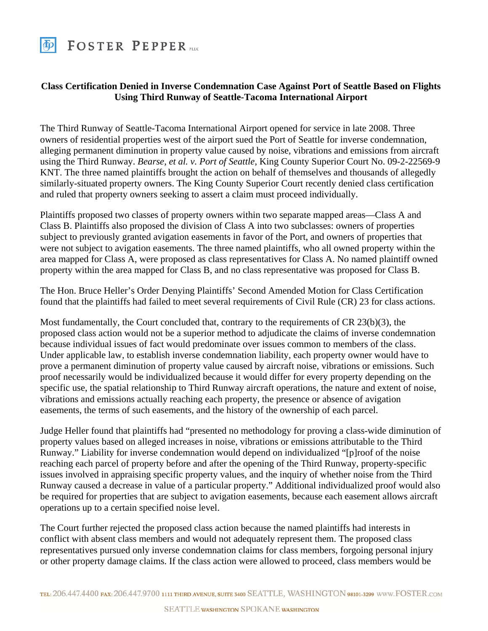

## **Class Certification Denied in Inverse Condemnation Case Against Port of Seattle Based on Flights Using Third Runway of Seattle-Tacoma International Airport**

The Third Runway of Seattle-Tacoma International Airport opened for service in late 2008. Three owners of residential properties west of the airport sued the Port of Seattle for inverse condemnation, alleging permanent diminution in property value caused by noise, vibrations and emissions from aircraft using the Third Runway. *Bearse, et al. v. Port of Seattle*, King County Superior Court No. 09-2-22569-9 KNT. The three named plaintiffs brought the action on behalf of themselves and thousands of allegedly similarly-situated property owners. The King County Superior Court recently denied class certification and ruled that property owners seeking to assert a claim must proceed individually.

Plaintiffs proposed two classes of property owners within two separate mapped areas—Class A and Class B. Plaintiffs also proposed the division of Class A into two subclasses: owners of properties subject to previously granted avigation easements in favor of the Port, and owners of properties that were not subject to avigation easements. The three named plaintiffs, who all owned property within the area mapped for Class A, were proposed as class representatives for Class A. No named plaintiff owned property within the area mapped for Class B, and no class representative was proposed for Class B.

The Hon. Bruce Heller's Order Denying Plaintiffs' Second Amended Motion for Class Certification found that the plaintiffs had failed to meet several requirements of Civil Rule (CR) 23 for class actions.

Most fundamentally, the Court concluded that, contrary to the requirements of CR 23(b)(3), the proposed class action would not be a superior method to adjudicate the claims of inverse condemnation because individual issues of fact would predominate over issues common to members of the class. Under applicable law, to establish inverse condemnation liability, each property owner would have to prove a permanent diminution of property value caused by aircraft noise, vibrations or emissions. Such proof necessarily would be individualized because it would differ for every property depending on the specific use, the spatial relationship to Third Runway aircraft operations, the nature and extent of noise, vibrations and emissions actually reaching each property, the presence or absence of avigation easements, the terms of such easements, and the history of the ownership of each parcel.

Judge Heller found that plaintiffs had "presented no methodology for proving a class-wide diminution of property values based on alleged increases in noise, vibrations or emissions attributable to the Third Runway." Liability for inverse condemnation would depend on individualized "[p]roof of the noise reaching each parcel of property before and after the opening of the Third Runway, property-specific issues involved in appraising specific property values, and the inquiry of whether noise from the Third Runway caused a decrease in value of a particular property." Additional individualized proof would also be required for properties that are subject to avigation easements, because each easement allows aircraft operations up to a certain specified noise level.

The Court further rejected the proposed class action because the named plaintiffs had interests in conflict with absent class members and would not adequately represent them. The proposed class representatives pursued only inverse condemnation claims for class members, forgoing personal injury or other property damage claims. If the class action were allowed to proceed, class members would be